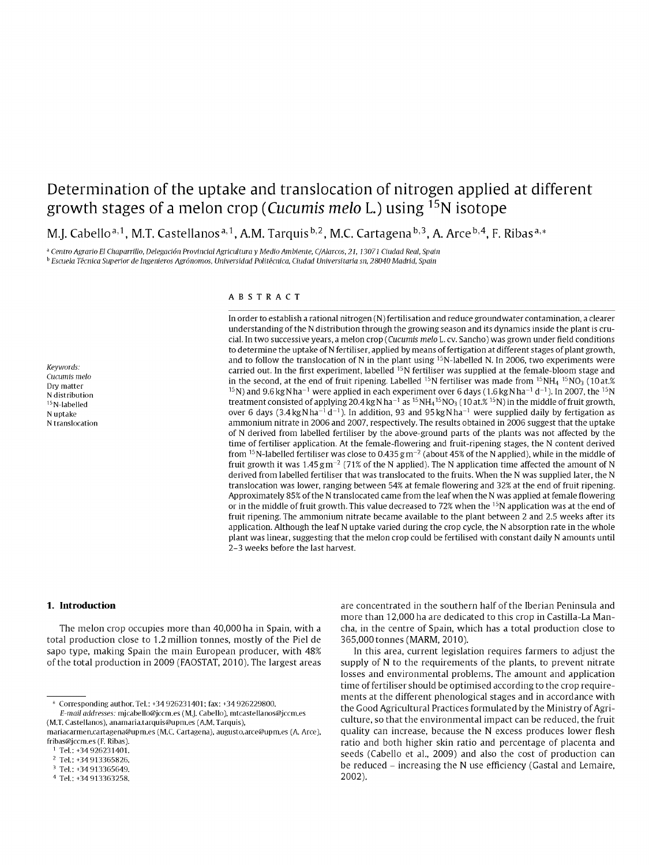# Determination of the uptake and translocation of nitrogen applied at different growth stages of a melon crop (Cucumis melo L.) using <sup>15</sup>N isotope

M.J. Cabello<sup>a, 1</sup>, M.T. Castellanos<sup>a, 1</sup>, A.M. Tarquis<sup>b, 2</sup>, M.C. Cartagena<sup>b, 3</sup>, A. Arce<sup>b, 4</sup>, F. Ribas<sup>a,\*</sup>

<sup>a</sup> Centro Agrario El Chaparrillo, Delegación Provincial Agricultura y Medio Ambiente, C/Alarcos, 21, 13071 Ciudad Real, Spain

<sup>b</sup> Escuela Técnica Superior de Ingenieros Agrónomos, Universidad Politécnica, Ciudad Universitaria sn, 28040 Madrid, Spain

#### Keywords: Cucumis melo Dry matter N distribution <sup>15</sup>N-labelled N uptake N translocation

## ABSTRACT

In order to establish a rational nitrogen (N) fertilisation and reduce groundwater contamination, a clearer understanding of the N distribution through the growing season and its dynamics inside the plant is crucial. In two successive years, a melon crop (Cucumis melo L. cv. Sancho) was grown under field conditions to determine the uptake of N fertiliser, applied by means of fertigation at different stages of plant growth, and to follow the translocation of N in the plant using  $15N$ -labelled N. In 2006, two experiments were carried out. In the first experiment, labelled <sup>15</sup>N fertiliser was supplied at the female-bloom stage and in the second, at the end of fruit ripening. Labelled <sup>15</sup>N fertiliser was made from <sup>15</sup>NH<sub>4</sub> <sup>15</sup>NO<sub>3</sub> (10 at.%) <sup>15</sup>N) and 9.6 kg N ha<sup>-1</sup> were applied in each experiment over 6 days (1.6 kg N ha<sup>-1</sup> d<sup>-1</sup>). In 2007, the <sup>15</sup>N treatment consisted of applying 20.4 kg N ha<sup>-1</sup> as <sup>15</sup>NH<sub>4</sub><sup>15</sup>NO<sub>3</sub> (10 at  $\%$  <sup>15</sup>N) in the middle of fruit growth, over 6 days  $(3.4 \text{ kg} \text{N} \text{ ha}^{-1} \text{ d}^{-1})$ . In addition, 93 and 95 kg N ha<sup>-1</sup> were supplied daily by fertigation as ammonium nitrate in 2006 and 2007, respectively. The results obtained in 2006 suggest that the uptake of N derived from labelled fertiliser by the above-ground parts of the plants was not affected by the time of fertiliser application. At the female-flowering and fruit-ripening stages, the N content derived from <sup>15</sup>N-labelled fertiliser was close to 0.435  $gm^{-2}$  (about 45% of the N applied), while in the middle of fruit growth it was  $1.45 \text{ g m}^{-2}$  (71% of the N applied). The N application time affected the amount of N derived from labelled fertiliser that was translocated to the fruits. When the N was supplied later, the N translocation was lower, ranging between 54% at female flowering and 32% at the end of fruit ripening. Approximately 85% of the N translocated came from the leaf when the N was applied at female flowering or in the middle of fruit growth. This value decreased to 72% when the <sup>15</sup>N application was at the end of fruit ripening. The ammonium nitrate became available to the plant between 2 and 2.5 weeks after its application. Although the leaf N uptake varied during the crop cycle, the N absorption rate in the whole plant was linear, suggesting that the melon crop could be fertilised with constant daily N amounts until 2-3 weeks before the last harvest.

#### 1. Introduction

The melon crop occupies more than 40,000 ha in Spain, with a total production close to 1.2 million tonnes, mostly of the Piel de sapo type, making Spain the main European producer, with 48% of the total production in 2009 (FAOSTAT, 2010). The largest areas

\* Corresponding author. Tel.: +34 926231401; fax: +34 926229800.

E-mail addresses: mjcabello@jccm.es (M.J. Cabello), mtcastellanos@jccm.es (M.T. Castellanos), anamaria.tarquis@upm.es (A.M. Tarquis),

are concentrated in the southern half of the Iberian Peninsula and more than 12,000 ha are dedicated to this crop in Castilla-La Mancha, in the centre of Spain, which has a total production close to 365,000 tonnes (MARM, 2010).

In this area, current legislation requires farmers to adjust the supply of N to the requirements of the plants, to prevent nitrate losses and environmental problems. The amount and application time of fertiliser should be optimised according to the crop requirements at the different phenological stages and in accordance with the Good Agricultural Practices formulated by the Ministry of Agriculture, so that the environmental impact can be reduced, the fruit quality can increase, because the N excess produces lower flesh ratio and both higher skin ratio and percentage of placenta and seeds (Cabello et al., 2009) and also the cost of production can be reduced – increasing the N use efficiency (Gastal and Lemaire.  $2002$ ).

mariacarmen.cartagena@upm.es (M.C. Cartagena), augusto.arce@upm.es (A. Arce), fribas@jccm.es (F. Ribas).

<sup>&</sup>lt;sup>1</sup> Tel.: +34 926231401.

<sup>&</sup>lt;sup>2</sup> Tel.: +34 913365826.

<sup>&</sup>lt;sup>3</sup> Tel.: +34 913365649.

<sup>&</sup>lt;sup>4</sup> Tel.: +34 913363258.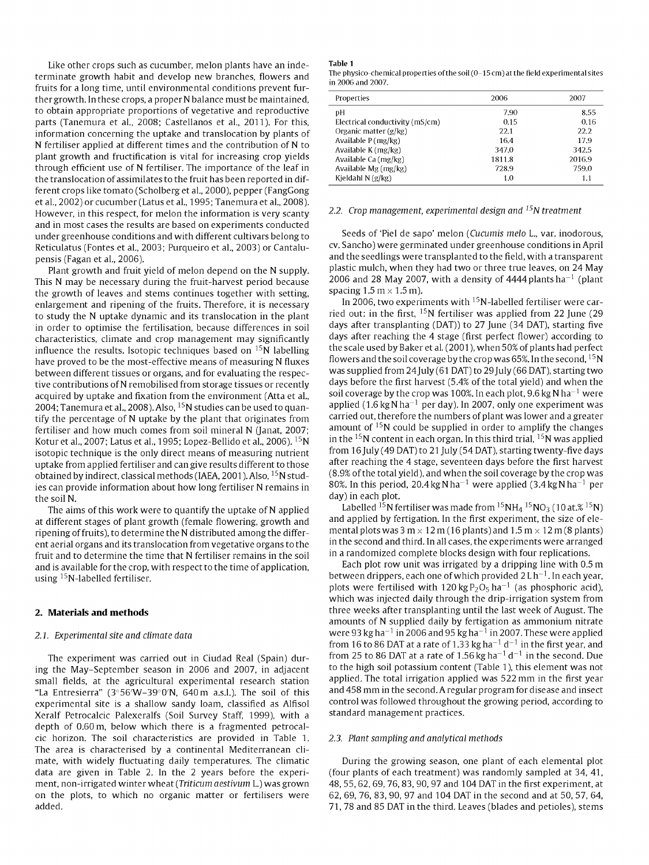Like other crops such as cucumber, melon plants have an indeterminate growth habit and develop new branches, flowers and fruits for a long time, until environmental conditions prevent further growth. In these crops, a proper N balance must be maintained, to obtain appropriate proportions of vegetative and reproductive parts (Tanemura et al., 2008; Castellanos et al., 2011). For this, information concerning the uptake and translocation by plants of N fertiliser applied at different times and the contribution of N to plant growth and fructification is vital for increasing crop yields through efficient use of N fertiliser. The importance of the leaf in the translocation of assimilates to the fruit has been reported in different crops like tomato (Scholberg et al., 2000), pepper (FangGong et al., 2002) or cucumber (Latus et al., 1995; Tanemura et al., 2008). However, in this respect, for melon the information is very scanty and in most cases the results are based on experiments conducted under greenhouse conditions and with different cultivars belong to Reticulatus (Fontes et al., 2003; Purqueiro et al, 2003) or Cantalupensis (Fagan et al., 2006).

Plant growth and fruit yield of melon depend on the N supply. This N may be necessary during the fruit-harvest period because the growth of leaves and stems continues together with setting, enlargement and ripening of the fruits. Therefore, it is necessary to study the N uptake dynamic and its translocation in the plant in order to optimise the fertilisation, because differences in soil characteristics, climate and crop management may significantly influence the results. Isotopic techniques based on  $^{15}N$  labelling have proved to be the most-effective means of measuring N fluxes between different tissues or organs, and for evaluating the respective contributions of N remobilised from storage tissues or recently acquired by uptake and fixation from the environment (Atta et al., 2004: Tanemura et al., 2008). Also, <sup>15</sup>N studies can be used to quantify the percentage of N uptake by the plant that originates from fertiliser and how much comes from soil mineral N (Janat, 2007; Kotur et al, 2007; Latus et al., 1995; Lopez-Bellido et al., 2006). <sup>15</sup>N isotopic technique is the only direct means of measuring nutrient uptake from applied fertiliser and can give results different to those aptane n'omap<sub>p</sub>inea rerember ana ean gire resents amerem to enose<br>obtained by indirect, classical methods (IAEA, 2001). Also, <sup>15</sup>N studies can provide information about how long fertiliser N remains in the soil N.

The aims of this work were to quantify the uptake of N applied at different stages of plant growth (female flowering, growth and ripening of fruits), to determine the N distributed among the different aerial organs and its translocation from vegetative organs to the fruit and to determine the time that N fertiliser remains in the soil and is available for the crop, with respect to the time of application, using <sup>15</sup>N-labelled fertiliser.

# **2. Materials and methods**

#### *2.Í. Experimental site and climate data*

The experiment was carried out in Ciudad Real (Spain) during the May-September season in 2006 and 2007, in adjacent small fields, at the agricultural experimental research station "La Entresierra" (3°56'W-39°0'N, 640 m a.s.L). The soil of this experimental site is a shallow sandy loam, classified as Alfisol Xeralf Petrocalcic Palexeralfs (Soil Survey Staff, 1999), with a depth of 0.60 m, below which there is a fragmented petrocalcic horizon. The soil characteristics are provided in Table 1. The area is characterised by a continental Mediterranean climate, with widely fluctuating daily temperatures. The climatic data are given in Table 2. In the 2 years before the experiment, non-irrigated winter wheat *(Triticum aestivum* L.) was grown on the plots, to which no organic matter or fertilisers were added.

#### **Table 1**

The physico-chemical properties of the soil  $(0-15 \text{ cm})$  at the field experimental sites in 2006 and 2007.

| Properties                      | 2006   | 2007   |
|---------------------------------|--------|--------|
| рH                              | 7.90   | 8.55   |
| Electrical conductivity (mS/cm) | 0.15   | 0.16   |
| Organic matter (g/kg)           | 22.1   | 22.2   |
| Available $P(mg/kg)$            | 16.4   | 17.9   |
| Available K (mg/kg)             | 347.0  | 342.5  |
| Available Ca (mg/kg)            | 1811.8 | 2016.9 |
| Available Mg (mg/kg)            | 728.9  | 759.0  |
| Kjeldahl $N(g/kg)$              | 1.0    | 1.1    |

#### *2.2. Crop management, experimental design and* !5N *treatment*

Seeds of 'Piel de sapo' melon *(Cucumis meló* L., var. inodorous, cv. Sancho) were germinated under greenhouse conditions in April and the seedlings were transplanted to the field, with a transparent plastic mulch, when they had two or three true leaves, on 24 May  $\sim$  2006 and 28 May 2007, with a density of 4444 plants ha $^{-1}$  (plant spacing  $1.5 \text{ m} \times 1.5 \text{ m}$ ).

In 2006, two experiments with  $^{15}{\rm N}$ -labelled fertiliser were car $\cdot$ ried out: in the first,  $15N$  fertiliser was applied from 22 June (29 days after transplanting (DAT)) to 27 June (34 DAT), starting five days after reaching the 4 stage (first perfect flower) according to the scale used by Baker et al. (2001), when 50% of plants had perfect flowers and the soil coverage by the crop was 65%. In the second,  $^{15}{\rm N}$ was supplied from 24July (61 DAT) to 29 July (66 DAT), starting two days before the first harvest (5.4% of the total yield) and when the soil coverage by the crop was 100%. In each plot, 9.6 kg N ha $^{-1}$  were applied (1.6 kg N ha<sup>-1</sup> per day). In 2007, only one experiment was carried out, therefore the numbers of plant was lower and a greater amount of  $15N$  could be supplied in order to amplify the changes in the  $^{15}{\rm N}$  content in each organ. In this third trial,  $^{15}{\rm N}$  was applied from 16 July (49 DAT) to 21 July (54 DAT), starting twenty-five days after reaching the 4 stage, seventeen days before the first harvest (8.9% of the total yield), and when the soil coverage by the crop was 80%. In this period, 20.4 kg N  $\rm{ha^{-1}}$  were applied (3.4 kg N  $\rm{ha^{-1}}$  per day) in each plot.

Labelled  $^{15}$ N fertiliser was made from  $^{15}$ NH4  $^{15}$ NO $_3$  (10 at.%  $^{15}$ N $\rm _3$ and applied by fertigation. In the first experiment, the size of elemental plots was 3 m  $\times$  12 m (16 plants) and 1.5 m  $\times$  12 m (8 plants) in the second and third. In all cases, the experiments were arranged in a randomized complete blocks design with four replications.

Each plot row unit was irrigated by a dripping line with 0.5 m between drippers, each one of which provided  $2L$  h $^{-1}$ . In each year, plots were fertilised with 120 kg  $P_2O_5$  ha<sup>-1</sup> (as phosphoric acid), which was injected daily through the drip-irrigation system from three weeks after transplanting until the last week of August. The amounts of N supplied daily by fertigation as ammonium nitrate were 93 kg ha<sup> $-1$ </sup> in 2006 and 95 kg ha $^{-1}$  in 2007. These were applied from 16 to 86 DAT at a rate of 1.33 kg ha<sup>-1</sup> d<sup>-1</sup> in the first year, and from 25 to 86 DAT at a rate of 1.56 kg ha<sup>-1</sup> d<sup>-1</sup> in the second. Due to the high soil potassium content (Table 1), this element was not applied. The total irrigation applied was 522 mm in the first year and 458 mm in the second. A regular program for disease and insect control was followed throughout the growing period, according to standard management practices.

#### *2.3. Plant sampling and analytical methods*

During the growing season, one plant of each elemental plot (four plants of each treatment) was randomly sampled at 34, 41, 48, 55, 62, 69, 76,83, 90, 97 and 104 DAT in the first experiment, at 62, 69, 76, 83, 90, 97 and 104 DAT in the second and at 50, 57, 64, 71, 78 and 85 DAT in the third. Leaves (blades and petioles), stems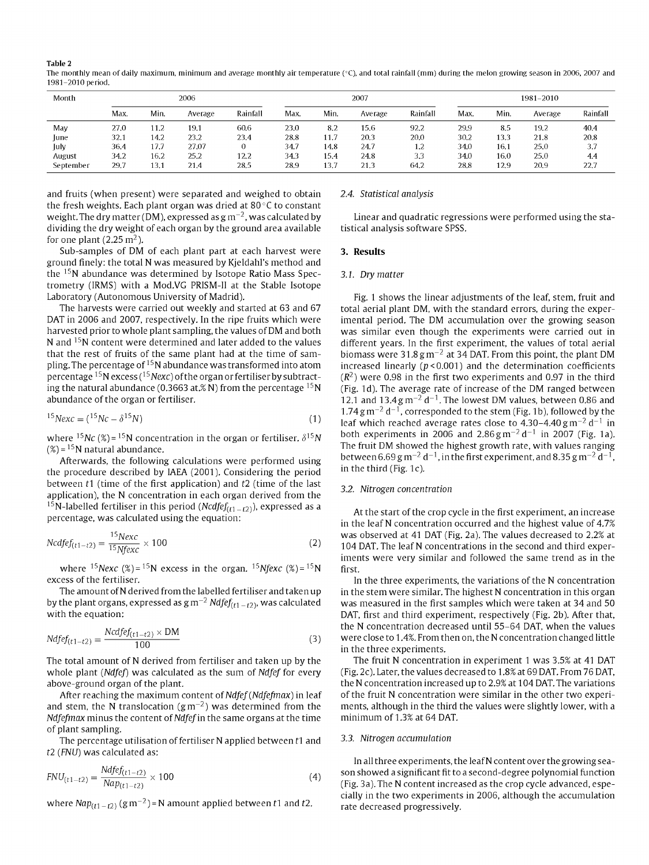**Table 2** 

The monthly mean of daily maximum, minimum and average monthly air temperature (°C), and total rainfall (mm) during the melon growing season in 2006, 2007 and 1981-2010 period.

| Month     | 2006 |      |         |          | 2007 |      |         | 1981-2010 |      |      |         |          |
|-----------|------|------|---------|----------|------|------|---------|-----------|------|------|---------|----------|
|           | Max. | Min. | Average | Rainfall | Max. | Min. | Average | Rainfall  | Max. | Min. | Average | Rainfall |
| May       | 27.0 | 11.2 | 19.1    | 60.6     | 23.0 | 8.2  | 15.6    | 92.2      | 29.9 | 8.5  | 19.2    | 40.4     |
| June      | 32.1 | 14.2 | 23.2    | 23.4     | 28.8 | 11.7 | 20.3    | 20.0      | 30.2 | 13.3 | 21.8    | 20,8     |
| July      | 36.4 | 17.7 | 27.07   |          | 34.7 | 14.8 | 24.7    | 1.2       | 34.0 | 16.1 | 25.0    | 3.7      |
| August    | 34.2 | 16.2 | 25.2    | 12.2     | 34.3 | 15.4 | 24.8    | 3.3       | 34.0 | 16.0 | 25.0    | 4.4      |
| September | 29.7 | 13.1 | 21.4    | 28.5     | 28.9 | 13.7 | 21.3    | 64.2      | 28.8 | 12.9 | 20.9    | 22.7     |

and fruits (when present) were separated and weighed to obtain the fresh weights. Each plant organ was dried at 80 °C to constant weight. The dry matter (DM), expressed as g m $^{-2}$ , was calculated by dividing the dry weight of each organ by the ground area available for one plant (2.25  $\mathrm{m}^2$ ).

Sub-samples of DM of each plant part at each harvest were ground finely: the total N was measured by Kjeldahl's method and the <sup>15</sup>N abundance was determined by Isotope Ratio Mass Spectrometry (IRMS) with a Mod.VG PRISM-II at the Stable Isotope Laboratory (Autonomous University of Madrid).

The harvests were carried out weekly and started at 63 and 67 DAT in 2006 and 2007, respectively. In the ripe fruits which were harvested prior to whole plant sampling, the values of DM and both N and <sup>15</sup>N content were determined and later added to the values that the rest of fruits of the same plant had at the time of sampling. The percentage of  $^{15}$ N abundance was transformed into atom .<br>percentage <sup>15</sup>N excess (<sup>15</sup>Nexc) of the organ or fertiliser by subtract-.<br>ing the natural abundance (0.3663 at.% N) from the percentage <sup>15</sup>N abundance of the organ or fertiliser.

$$
{}^{15}Nexc = ({}^{15}Nc - \delta {}^{15}N)
$$
 (1)

where <sup>15</sup>Nc (%)= <sup>15</sup>N concentration in the organ or fertiliser.  $\delta^{15}N$  $(\%) = {^{15}{\rm N}}$  natural abundance.

Afterwards, the following calculations were performed using the procedure described by IAEA (2001). Considering the period between  $t1$  (time of the first application) and  $t2$  (time of the last application), the N concentration in each organ derived from the <sup>15</sup>N-labelled fertiliser in this period (*Ncdfef*<sub>(t1-t2</sub>)), expressed as a percentage, was calculated using the equation:

$$
Ncdfef_{(t1-t2)} = \frac{15Nexc}{15Nfexc} \times 100
$$
 (2)

where <sup>15</sup>*Nexc* (%)=<sup>15</sup>N excess in the organ. <sup>15</sup>*Nfexc* (%)=<sup>15</sup>N excess of the fertiliser.

The amount of N derived from the labelled fertiliser and taken up by the plant organs, expressed as g m $^{-2}$   $\mathit{Ndfef}_{(t1-t2)}$ , was calculated with the equation:

$$
Ndfef_{(t1-t2)} = \frac{Ncdfef_{(t1-t2)} \times DM}{100}
$$
\n(3)

The total amount of N derived from fertiliser and taken up by the whole plant *(Ndfef)* was calculated as the sum of *Ndfef* for every above-ground organ of the plant.

After reaching the maximum content of *Ndfef (Ndfefmax)* in leaf and stem, the N translocation (gm $^{-2}$ ) was determined from the *Ndfefmax* minus the content of *Ndfef* in the same organs at the time of plant sampling.

The percentage utilisation of fertiliser  $N$  applied between  $t1$  and r2 *(FNU)* was calculated as:

$$
FNU_{(t1-t2)} = \frac{Ndfef_{(t1-t2)}}{Nap_{(t1-t2)}} \times 100
$$
\n(4)

where  $\textsf{Nap}_{(t1-t2)}$   $(\texttt{g}\,\texttt{m}^{-2})$  =  $\textsf{N}$  amount applied between  $t1$  and  $t2.$ 

## *2.4. Statistical analysis*

Linear and quadratic regressions were performed using the statistical analysis software SPSS.

# **3. Results**

## *3.1. Dry matter*

Fig. 1 shows the linear adjustments of the leaf, stem, fruit and total aerial plant DM, with the standard errors, during the experimental period. The DM accumulation over the growing season was similar even though the experiments were carried out in different years. In the first experiment, the values of total aerial biomass were 31.8  $\rm g\,m^{-2}$  at 34 DAT. From this point, the plant DM increased linearly ( $p$ <0.001) and the determination coefficients  $(R<sup>2</sup>)$  were 0.98 in the first two experiments and 0.97 in the third (Fig. Id). The average rate of increase of the DM ranged between 12.1 and 13.4  $\rm g\,m^{-2}$  d<sup>-1</sup>. The lowest DM values, between 0.86 and  $1.74$  g m<sup>-2</sup> d<sup>-1</sup>, corresponded to the stem (Fig. 1b), followed by the leaf which reached average rates close to  $4.30-4.40 \text{ g m}^{-2} \text{ d}^{-1}$  in both experiments in 2006 and  $2.86 \text{ g m}^{-2} \text{ d}^{-1}$  in 2007 (Fig. 1a). The fruit DM showed the highest growth rate, with values ranging between 6.69 g m<sup>-2</sup> d<sup>-1</sup>, in the first experiment, and 8.35 g m<sup>-2</sup> d<sup>-1</sup>. in the third (Fig. 1c).

# *3.2. Nitrogen concentration*

At the start of the crop cycle in the first experiment, an increase in the leaf N concentration occurred and the highest value of 4.7% was observed at 41 DAT (Fig. 2a). The values decreased to 2.2% at 104 DAT. The leaf N concentrations in the second and third experiments were very similar and followed the same trend as in the first.

In the three experiments, the variations of the N concentration in the stem were similar. The highest N concentration in this organ was measured in the first samples which were taken at 34 and 50 DAT, first and third experiment, respectively (Fig. 2b). After that, the N concentration decreased until 55-64 DAT, when the values were close to 1.4%. From then on, the N concentration changed little in the three experiments.

The fruit N concentration in experiment 1 was 3.5% at 41 DAT (Fig. 2c). Later, the values decreased to 1.8% at 69 DAT. From 76 DAT, the N concentration increased up to 2.9% at 104 DAT. The variations of the fruit N concentration were similar in the other two experiments, although in the third the values were slightly lower, with a minimum of 1.3% at 64 DAT.

## *3.3. Nitrogen accumulation*

In all three experiments, the leaf N content over the growing season showed a significant fit to a second-degree polynomial function (Fig. 3a). The N content increased as the crop cycle advanced, especially in the two experiments in 2006, although the accumulation rate decreased progressively.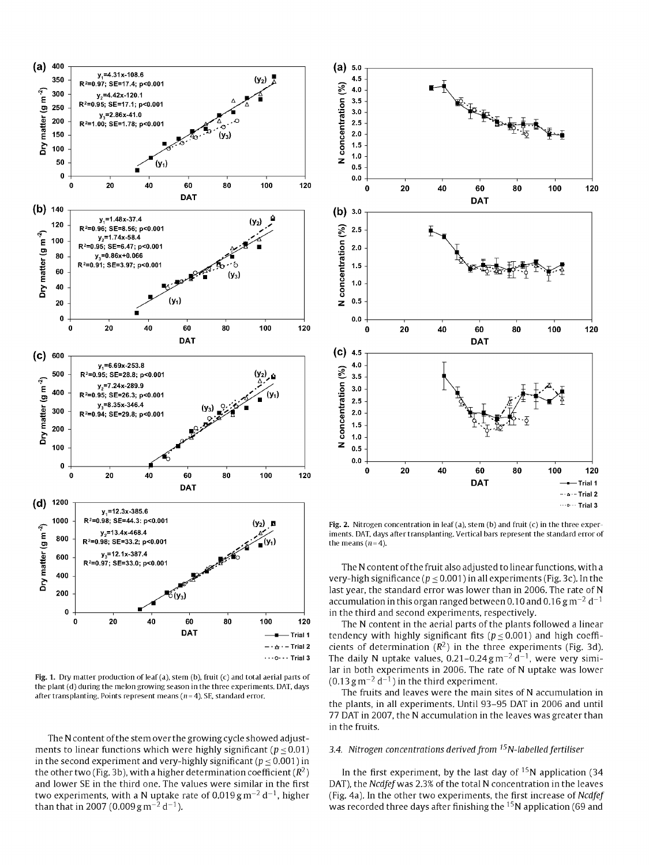

Fig. 1. Dry matter production of leaf (a), stem (b), fruit (c) and total aerial parts of the plant (d) during the melon growing season in the three experiments. DAT, days after transplanting. Points represent means ( $n=4$ ). SE, standard error.

The N content of the stem over the growing cycle showed adjustments to linear functions which were highly significant ( $p \le 0.01$ ) in the second experiment and very-highly significant ( $p \le 0.001$ ) in the other two (Fig. 3b), with a higher determination coefficient ( $\mathbb{R}^2$ ) and lower SE in the third one. The values were similar in the first two experiments, with a N uptake rate of  $0.019$  g m<sup>-2</sup> d<sup>-1</sup>, higher than that in 2007 (0.009 g m<sup>-2</sup> d<sup>-1</sup>).



Fig. 2. Nitrogen concentration in leaf (a), stem (b) and fruit (c) in the three experiments. DAT, days after transplanting. Vertical bars represent the standard error of the means  $(n=4)$ .

The N content of the fruit also adjusted to linear functions, with a very-high significance ( $p \le 0.001$ ) in all experiments (Fig. 3c). In the last year, the standard error was lower than in 2006. The rate of N accumulation in this organ ranged between 0.10 and 0.16 g m<sup>-2</sup> d<sup>-1</sup> in the third and second experiments, respectively.

The N content in the aerial parts of the plants followed a linear tendency with highly significant fits  $(p < 0.001)$  and high coefficients of determination  $(R^2)$  in the three experiments (Fig. 3d). The daily N uptake values,  $0.21-0.24$  g m<sup>-2</sup> d<sup>-1</sup>, were very similar in both experiments in 2006. The rate of N uptake was lower  $(0.13 \text{ g m}^{-2} \text{ d}^{-1})$  in the third experiment.

The fruits and leaves were the main sites of N accumulation in the plants, in all experiments. Until 93-95 DAT in 2006 and until 77 DAT in 2007, the N accumulation in the leaves was greater than in the fruits.

# 3.4. Nitrogen concentrations derived from <sup>15</sup>N-labelled fertiliser

In the first experiment, by the last day of  $15N$  application (34 DAT), the Ncdfef was 2.3% of the total N concentration in the leaves (Fig. 4a). In the other two experiments, the first increase of Ncdfef was recorded three days after finishing the <sup>15</sup>N application (69 and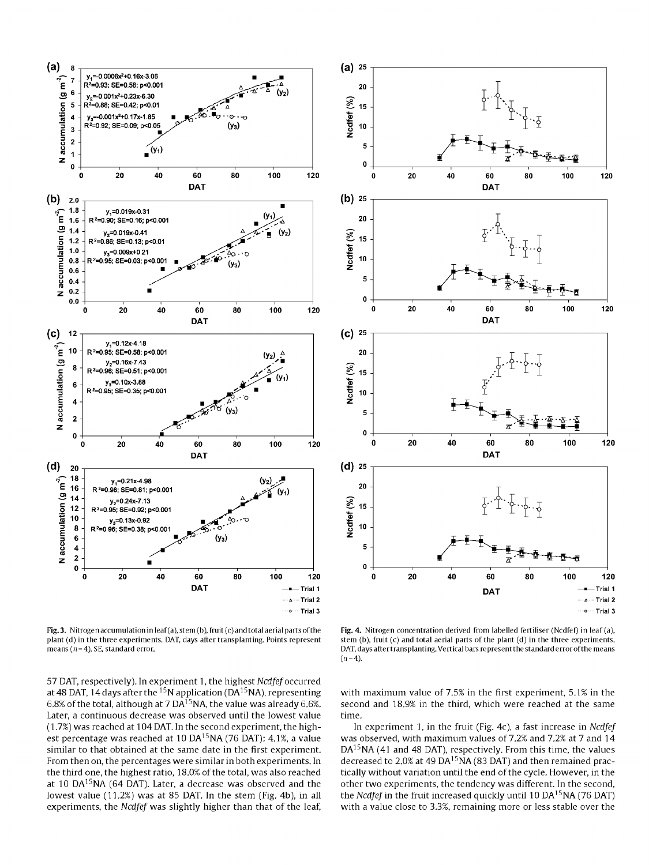

Fig. 3. Nitrogen accumulation in leaf (a), stem (b), fruit (c) and total aerial parts of the plant (d) in the three experiments. DAT, days after transplanting. Points represent means ( $n=4$ ). SE, standard error.

57 DAT, respectively). In experiment 1, the highest Ncdfef occurred at 48 DAT, 14 days after the  $^{15}N$  application (DA $^{15}NA$ ), representing 6.8% of the total, although at 7 DA<sup>15</sup>NA, the value was already 6.6%. Later, a continuous decrease was observed until the lowest value (1.7%) was reached at 104 DAT. In the second experiment, the highest percentage was reached at 10 DA<sup>15</sup>NA (76 DAT): 4.1%, a value similar to that obtained at the same date in the first experiment. From then on, the percentages were similar in both experiments. In the third one, the highest ratio, 18.0% of the total, was also reached at 10 DA<sup>15</sup>NA (64 DAT). Later, a decrease was observed and the lowest value (11.2%) was at 85 DAT. In the stem (Fig. 4b), in all experiments, the Ncdfef was slightly higher than that of the leaf,



Fig. 4. Nitrogen concentration derived from labelled fertiliser (Ncdfef) in leaf (a), stem (b), fruit (c) and total aerial parts of the plant (d) in the three experiments. DAT, days after transplanting. Vertical bars represent the standard error of the means  $(n=4)$ 

with maximum value of 7.5% in the first experiment, 5.1% in the second and 18.9% in the third, which were reached at the same time.

In experiment 1, in the fruit (Fig. 4c), a fast increase in Ncdfef was observed, with maximum values of 7.2% and 7.2% at 7 and 14 DA<sup>15</sup>NA (41 and 48 DAT), respectively. From this time, the values decreased to 2.0% at 49 DA<sup>15</sup>NA (83 DAT) and then remained practically without variation until the end of the cycle. However, in the other two experiments, the tendency was different. In the second, the *Ncdfef* in the fruit increased quickly until 10 DA<sup>15</sup>NA (76 DAT) with a value close to 3.3%, remaining more or less stable over the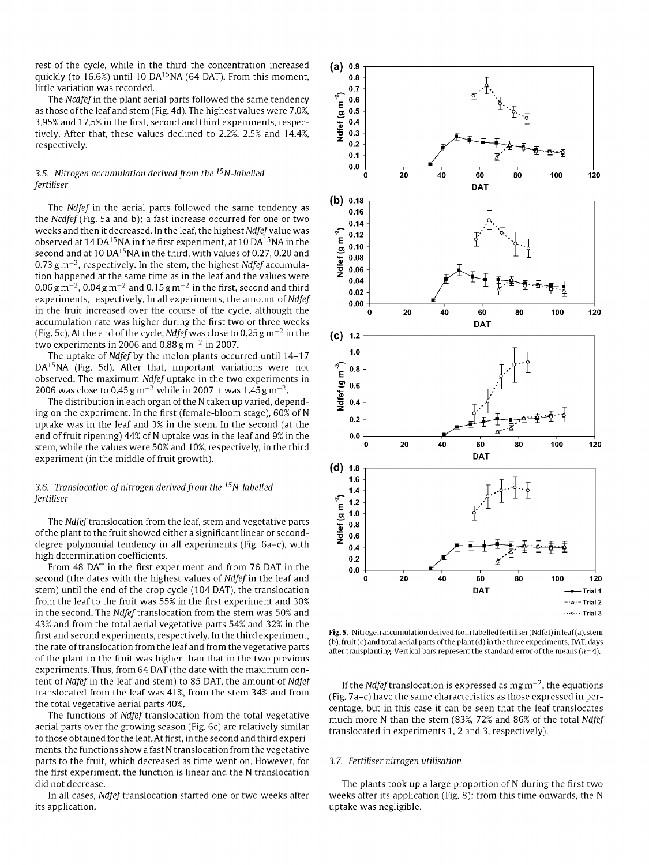rest of the cycle, while in the third the concentration increased quickly (to 16.6%) until 10 DA<sup>15</sup>NA (64 DAT). From this moment, little variation was recorded.

The *Ncdfef* in the plant aerial parts followed the same tendency as those of the leaf and stem (Fig. 4d). The highest values were 7.0%, 3.95% and 17.5% in the first, second and third experiments, respectively. After that, these values declined to 2.2%, 2.5% and 14.4%, respectively.

# 3.5. *Nitrogen accumulation derived from the i5N-labelled fertiliser*

The *Ndfef* in the aerial parts followed the same tendency as the *Ncdfef* (Fig. 5a and b): a fast increase occurred for one or two weeks and then it decreased. In the leaf, the highest *Ndfef* value was observed at 14 DA<sup>15</sup>NA in the first experiment, at 10 DA<sup>15</sup>NA in the second and at 10 DA<sup>15</sup>NA in the third, with values of 0.27, 0.20 and  $0.73\,\mathrm{g\,m^{-2}}$ , respectively. In the stem, the highest *Ndfef* accumulation happened at the same time as in the leaf and the values were  $0.06$  g m<sup>-2</sup>, 0.04 g m<sup>-2</sup> and 0.15 g m<sup>-2</sup> in the first, second and third experiments, respectively. In all experiments, the amount of *Ndfef*  in the fruit increased over the course of the cycle, although the accumulation rate was higher during the first two or three weeks (Fig. 5c). At the end of the cycle, *Ndfef* was close to 0.25  $\rm g\,m^{-2}$  in the two experiments in 2006 and 0.88 g m<sup>-2</sup> in 2007.

The uptake of *Ndfef* by the melon plants occurred until 14-17 DA<sup>15</sup>NA (Fig. 5d). After that, important variations were not observed. The maximum *Ndfef* uptake in the two experiments in 2006 was close to 0.45 g m $^{-2}$  while in 2007 it was 1.45 g m $^{-2}$ .

The distribution in each organ of the N taken up varied, depending on the experiment. In the first (female-bloom stage), 60% of N uptake was in the leaf and 3% in the stem. In the second (at the end of fruit ripening) 44% of N uptake was in the leaf and 9% in the stem, while the values were 50% and 10%, respectively, in the third experiment (in the middle of fruit growth).

# *3.6. Translocation of nitrogen derived from the i5N-labelled fertiliser*

The *Ndfef* translocation from the leaf, stem and vegetative parts of the plant to the fruit showed either a significant linear or seconddegree polynomial tendency in all experiments (Fig. 6a-c), with high determination coefficients.

From 48 DAT in the first experiment and from 76 DAT in the second (the dates with the highest values of *Ndfef* in the leaf and stem) until the end of the crop cycle (104 DAT), the translocation from the leaf to the fruit was 55% in the first experiment and 30% in the second. The *Ndfef* translocation from the stem was 50% and 43% and from the total aerial vegetative parts 54% and 32% in the first and second experiments, respectively. In the third experiment, the rate of translocation from the leaf and from the vegetative parts of the plant to the fruit was higher than that in the two previous experiments. Thus, from 64 DAT (the date with the maximum content of *Ndfef* in the leaf and stem) to 85 DAT, the amount of *Ndfef*  translocated from the leaf was 41%, from the stem 34% and from the total vegetative aerial parts 40%.

The functions of *Ndfef* translocation from the total vegetative aerial parts over the growing season (Fig. 6c) are relatively similar to those obtained for the leaf. At first, in the second and third experiments, the functions show a fast N translocation from the vegetative parts to the fruit, which decreased as time went on. However, for the first experiment, the function is linear and the N translocation did not decrease.

In all cases, *Ndfef* translocation started one or two weeks after its application.



Fig. 5. Nitrogen accumulation derived from labelled fertiliser (Ndfef) in leaf (a), stem (b), fruit (c) and total aerial parts of the plant (d) in the three experiments. DAT, days after transplanting. Vertical bars represent the standard error of the means ( $n=4$ ).

If the Ndfef translocation is expressed as  $\rm{mg\,m^{-2}}$ , the equations (Fig. 7a-c) have the same characteristics as those expressed in percentage, but in this case it can be seen that the leaf translocates much more N than the stem (83%, 72% and 86% of the total *Ndfef*  translocated in experiments 1, 2 and 3, respectively).

#### *3.7. Fertiliser nitrogen utilisation*

The plants took up a large proportion of N during the first two weeks after its application (Fig. 8): from this time onwards, the N uptake was negligible.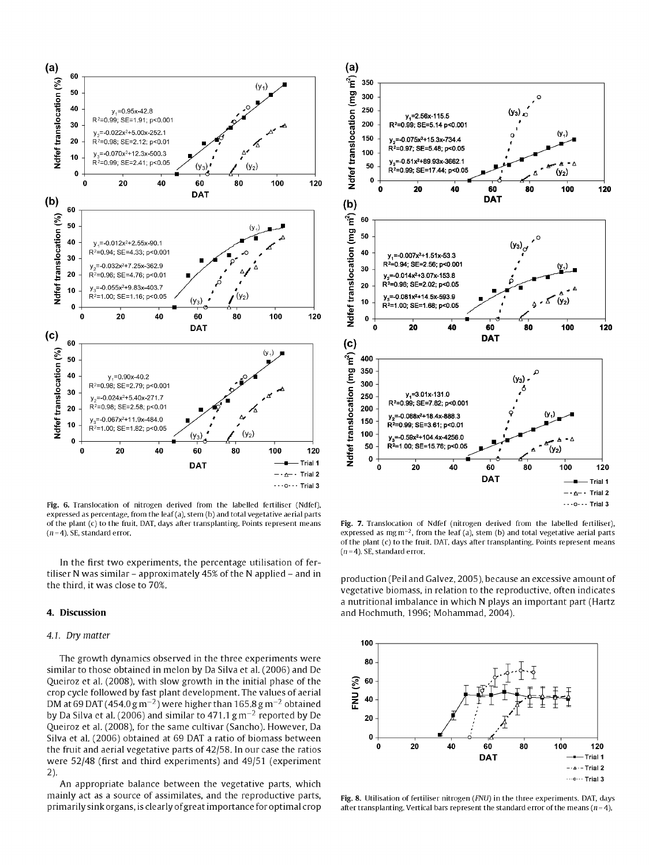

Fig. 6. Translocation of nitrogen derived from the labelled fertiliser (Ndfef), expressed as percentage, from the leaf (a), stem (b) and total vegetative aerial parts of the plant (c) to the fruit. DAT, days after transplanting. Points represent means  $(n=4)$ . SE, standard error.

In the first two experiments, the percentage utilisation of fertiliser N was similar – approximately  $45\%$  of the N applied – and in the third, it was close to 70%.

# 4. Discussion

#### 4.1. Dry matter

The growth dynamics observed in the three experiments were similar to those obtained in melon by Da Silva et al. (2006) and De Queiroz et al. (2008), with slow growth in the initial phase of the crop cycle followed by fast plant development. The values of aerial DM at 69 DAT (454.0  $\rm g\,m^{-2}$ ) were higher than 165.8  $\rm g\,m^{-2}$  obtained by Da Silva et al. (2006) and similar to 471.1  $\rm g\,m^{-2}$  reported by De Queiroz et al. (2008), for the same cultivar (Sancho). However, Da Silva et al. (2006) obtained at 69 DAT a ratio of biomass between the fruit and aerial vegetative parts of 42/58. In our case the ratios were 52/48 (first and third experiments) and 49/51 (experiment  $2)$ 

An appropriate balance between the vegetative parts, which mainly act as a source of assimilates, and the reproductive parts, primarily sink organs, is clearly of great importance for optimal crop



Fig. 7. Translocation of Ndfef (nitrogen derived from the labelled fertiliser), expressed as mg  $m^{-2}$ , from the leaf (a), stem (b) and total vegetative aerial parts of the plant (c) to the fruit. DAT, days after transplanting. Points represent means  $(n=4)$ . SE, standard error.

production (Peil and Galvez, 2005), because an excessive amount of vegetative biomass, in relation to the reproductive, often indicates a nutritional imbalance in which N plays an important part (Hartz and Hochmuth, 1996; Mohammad, 2004).



Fig. 8. Utilisation of fertiliser nitrogen (FNU) in the three experiments. DAT, days after transplanting. Vertical bars represent the standard error of the means ( $n=4$ ).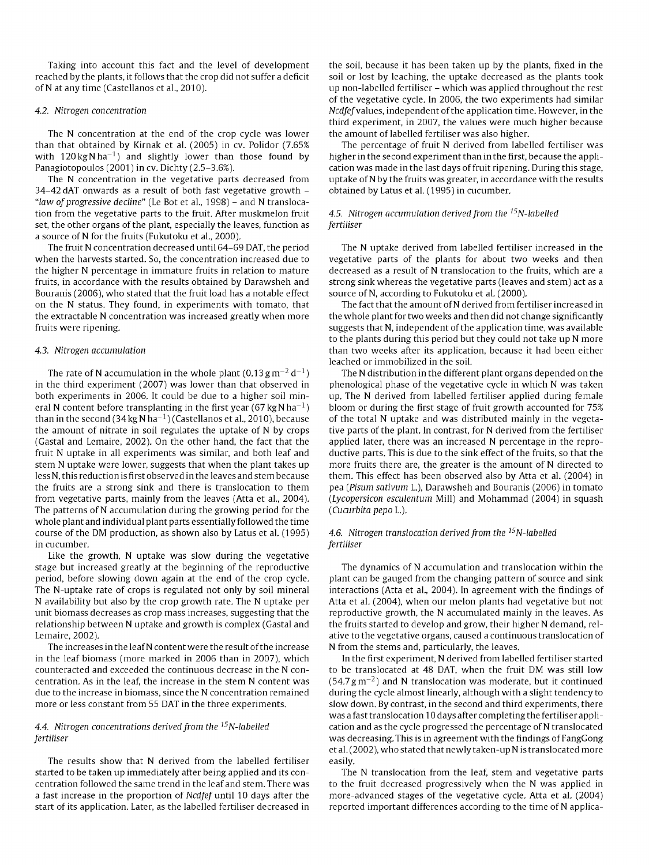Taking into account this fact and the level of development reached by the plants, it follows that the crop did not suffer a deficit of N at any time (Castellanos et al, 2010).

# *4.2. Nitrogen concentration*

The N concentration at the end of the crop cycle was lower than that obtained by Kirnak et al. (2005) in cv. Polidor (7.65% with 120 kg N ha<sup>-1</sup>) and slightly lower than those found by Panagiotopoulos (2001) in cv. Dichty (2.5-3.6%).

The N concentration in the vegetative parts decreased from 34-42 dAT onwards as a result of both fast vegetative growth - *"law of progressive decline"* (Le Bot et al., 1998) - and N translocation from the vegetative parts to the fruit. After muskmelon fruit set, the other organs of the plant, especially the leaves, function as a source of N for the fruits (Fukutoku et al, 2000).

The fruit N concentration decreased until 64-69 DAT, the period when the harvests started. So, the concentration increased due to the higher N percentage in immature fruits in relation to mature fruits, in accordance with the results obtained by Darawsheh and Bouranis (2006), who stated that the fruit load has a notable effect on the N status. They found, in experiments with tomato, that the extractable N concentration was increased greatly when more fruits were ripening.

# *4.3. Nitrogen accumulation*

The rate of N accumulation in the whole plant (0.13 g m $^{-2}$  d $^{-1})$ in the third experiment (2007) was lower than that observed in both experiments in 2006. It could be due to a higher soil mineral N content before transplanting in the first year (67 kg N ha<sup>-1</sup>) than in the second (34 kg N ha<sup>-1</sup>) (Castellanos et al., 2010), because the amount of nitrate in soil regulates the uptake of N by crops (Gastal and Lemaire, 2002). On the other hand, the fact that the fruit N uptake in all experiments was similar, and both leaf and stem N uptake were lower, suggests that when the plant takes up less N, this reduction is first observed in the leaves and stem because the fruits are a strong sink and there is translocation to them from vegetative parts, mainly from the leaves (Atta et al., 2004). The patterns of N accumulation during the growing period for the whole plant and individual plant parts essentially followed the time course of the DM production, as shown also by Latus et al. (1995) in cucumber.

Like the growth, N uptake was slow during the vegetative stage but increased greatly at the beginning of the reproductive period, before slowing down again at the end of the crop cycle. The N-uptake rate of crops is regulated not only by soil mineral N availability but also by the crop growth rate. The N uptake per unit biomass decreases as crop mass increases, suggesting that the relationship between N uptake and growth is complex (Gastal and Lemaire, 2002).

The increases in the leaf N content were the result of the increase in the leaf biomass (more marked in 2006 than in 2007), which counteracted and exceeded the continuous decrease in the N concentration. As in the leaf, the increase in the stem N content was due to the increase in biomass, since the N concentration remained more or less constant from 55 DAT in the three experiments.

# *4.4. Nitrogen concentrations derived from the i5N-labelled fertiliser*

The results show that N derived from the labelled fertiliser started to be taken up immediately after being applied and its concentration followed the same trend in the leaf and stem. There was a fast increase in the proportion of *Ncdfef* until 10 days after the start of its application. Later, as the labelled fertiliser decreased in

the soil, because it has been taken up by the plants, fixed in the soil or lost by leaching, the uptake decreased as the plants took up non-labelled fertiliser - which was applied throughout the rest of the vegetative cycle. In 2006, the two experiments had similar Ncdfef values, independent of the application time. However, in the third experiment, in 2007, the values were much higher because the amount of labelled fertiliser was also higher.

The percentage of fruit N derived from labelled fertiliser was higher in the second experiment than in the first, because the application was made in the last days of fruit ripening. During this stage, uptake of N by the fruits was greater, in accordance with the results obtained by Latus et al. (1995) in cucumber.

# *4.5. Nitrogen accumulation derived from the i5N-labelled fertiliser*

The N uptake derived from labelled fertiliser increased in the vegetative parts of the plants for about two weeks and then decreased as a result of N translocation to the fruits, which are a strong sink whereas the vegetative parts (leaves and stem) act as a source of N, according to Fukutoku et al. (2000).

The fact that the amount of N derived from fertiliser increased in the whole plant for two weeks and then did not change significantly suggests that N, independent of the application time, was available to the plants during this period but they could not take up N more than two weeks after its application, because it had been either leached or immobilized in the soil.

The N distribution in the different plant organs depended on the phenological phase of the vegetative cycle in which N was taken up. The N derived from labelled fertiliser applied during female bloom or during the first stage of fruit growth accounted for 75% of the total N uptake and was distributed mainly in the vegetative parts of the plant. In contrast, for N derived from the fertiliser applied later, there was an increased N percentage in the reproductive parts. This is due to the sink effect of the fruits, so that the more fruits there are, the greater is the amount of N directed to them. This effect has been observed also by Atta et al. (2004) in pea *(Pisum sativum* L.), Darawsheh and Bouranis (2006) in tomato *(Lycopersicon esculentum* Mill) and Mohammad (2004) in squash *(Cucúrbita pepo* L.).

# *4.6. Nitrogen translocation derived from the i5N-labelled fertiliser*

The dynamics of N accumulation and translocation within the plant can be gauged from the changing pattern of source and sink interactions (Atta et al., 2004). In agreement with the findings of Atta et al. (2004), when our melon plants had vegetative but not reproductive growth, the N accumulated mainly in the leaves. As the fruits started to develop and grow, their higher N demand, relative to the vegetative organs, caused a continuous translocation of N from the stems and, particularly, the leaves.

In the first experiment, N derived from labelled fertiliser started to be translocated at 48 DAT, when the fruit DM was still low (54.7 g m $^{-2}$ ) and N translocation was moderate, but it continued during the cycle almost linearly, although with a slight tendency to slow down. By contrast, in the second and third experiments, there was a fast translocation 10 days after completing the fertiliser application and as the cycle progressed the percentage of N translocated was decreasing. This is in agreement with the findings of FangGong et al. (2002), who stated that newly taken-up N is translocated more easily.

The N translocation from the leaf, stem and vegetative parts to the fruit decreased progressively when the N was applied in more-advanced stages of the vegetative cycle. Atta et al. (2004) reported important differences according to the time of N applica-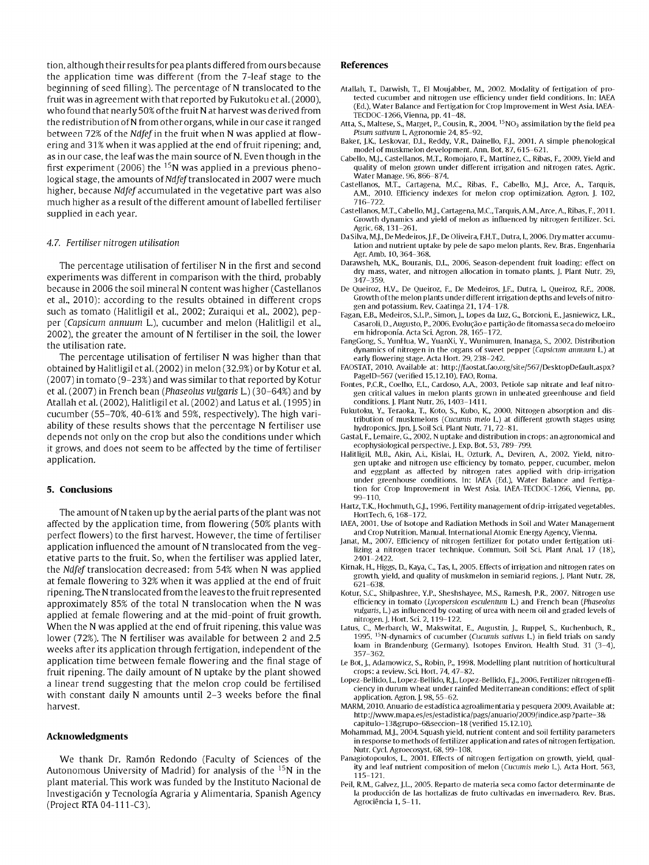tion, although their results for pea plants differed from ours because the application time was different (from the 7-leaf stage to the beginning of seed filling). The percentage of N translocated to the fruit was in agreement with that reported by Fukutoku et al. (2000), who found that nearly 50% of the fruit N at harvest was derived from the redistribution of N from other organs, while in our case it ranged between 72% of the *Ndfef in* the fruit when N was applied at flowering and 31% when it was applied at the end of fruit ripening; and, as in our case, the leaf was the main source of N. Even though in the first experiment (2006) the <sup>15</sup>N was applied in a previous phenological stage, the amounts of Ndfef translocated in 2007 were much higher, because *Ndfef* accumulated in the vegetative part was also much higher as a result of the different amount of labelled fertiliser supplied in each year.

# *4.7. Fertiliser nitrogen utilisation*

The percentage utilisation of fertiliser N in the first and second experiments was different in comparison with the third, probably because in 2006 the soil mineral N content was higher (Castellanos et al, 2010): according to the results obtained in different crops such as tomato (Halitligil et al., 2002; Zuraiqui et al., 2002), pepper *(Capsicum annuum* L), cucumber and melon (Halitligil et al., 2002), the greater the amount of N fertiliser in the soil, the lower the utilisation rate.

The percentage utilisation of fertiliser N was higher than that obtained by Halitligil et al. (2002) in melon (32.9%) or by Kotur et al. (2007) in tomato (9-23%) and was similar to that reported by Kotur et al. (2007) in French bean *(Phaseolus vulgaris* L) (30-64%) and by Atallah et al. (2002), Halitligil et al. (2002) and Latus et al. (1995) in cucumber (55-70%, 40-61% and 59%, respectively). The high variability of these results shows that the percentage N fertiliser use depends not only on the crop but also the conditions under which it grows, and does not seem to be affected by the time of fertiliser application.

# **5. Conclusions**

The amount of N taken up by the aerial parts of the plant was not affected by the application time, from flowering (50% plants with perfect flowers) to the first harvest. However, the time of fertiliser application influenced the amount of N translocated from the vegetative parts to the fruit. So, when the fertiliser was applied later, the *Ndfef* translocation decreased: from 54% when N was applied at female flowering to 32% when it was applied at the end of fruit ripening. The N translocated from the leaves to the fruit represented approximately 85% of the total N translocation when the N was applied at female flowering and at the mid-point of fruit growth. When the N was applied at the end of fruit ripening, this value was lower (72%). The N fertiliser was available for between 2 and 2.5 weeks after its application through fertigation, independent of the application time between female flowering and the final stage of fruit ripening. The daily amount of N uptake by the plant showed a linear trend suggesting that the melon crop could be fertilised with constant daily N amounts until 2-3 weeks before the final harvest.

# **Acknowledgments**

We thank Dr. Ramón Redondo (Faculty of Sciences of the Autonomous University of Madrid) for analysis of the <sup>15</sup>N in the plant material. This work was funded by the Instituto Nacional de Investigación y Tecnología Agraria y Alimentaria, Spanish Agency (Project RTA 04-111-C3).

#### **References**

- Atallah, T., Darwish, T., El Moujabber, M., 2002. Modality of fertigation of protected cucumber and nitrogen use efficiency under field conditions. In: IAEA (Ed.), Water Balance and Fertigation for Crop Improvement in West Asia. IAEA-TECDOC-1266, Vienna, pp. 41-48.
- Atta, S., Maltese, S., Marget, P., Cousin, R., 2004.  $^{15}$ NO<sub>3</sub> assimilation by the field pea *Pisum sativum* L. Agronomie 24, 85-92.
- Baker, J.K., Leskovar, D.I., Reddy, V.R., Dainello, F.J., 2001. A simple phenological model of muskmelon development. Ann. Bot. 87, 615-621.
- Cabello, M.J., Castellanos, M.T., Romojaro, F., Martínez, C, Ribas, F., 2009. Yield and quality of melon grown under different irrigation and nitrogen rates. Agrie. Water Manage. 96, 866-874.
- Castellanos, M.T., Cartagena, M.C., Ribas, F., Cabello, M.J., Arce, A., Tarquis, A.M., 2010. Efficiency indexes for melon crop optimization. Agron. J. 102, 716-722.
- Castellanos, M.T., Cabello, M.J., Cartagena, M.C., Tarquis, A.M., Arce, A., Ribas, F., 2011. Growth dynamics and yield of melon as influenced by nitrogen fertilizer. Sci. Agrie. 68, 131-261.
- DaSilva, M.J., De Medeiros.J.F., De Oliveira, F.H.T., Dutra, I., 2006. Dry matter accumulation and nutrient uptake by pele de sapo melon plants. Rev. Bras. Engenharia Agr.Amb. 10,364-368.
- Darawsheh, M.K., Bouranis, D.L., 2006. Season-dependent fruit loading: effect on dry mass, water, and nitrogen allocation in tomato plants. J. Plant Nutr. 29, 347-359.
- De Queiroz, H.V., De Queiroz, F., De Medeiros, J.F., Dutra, I., Queiroz, R.F., 2008. Growth ofthe melon plants underdifferent irrigation depths and levels of nitrogen and potassium. Rev. Caatinga 21,174-178.
- Fagan, E.B., Medeiros, S.L.P., Simon, J., Lopes da Luz, G., Borcioni, E.,Jasniewicz, L.R., Casaroli, D., Augusto, P., 2006. Evolucao e particao de fitomassa seca do meloeiro em hidroponia. Acta Sci. Agron. 28,165-172.
- FangGong, S., YunHua, W., YuanXi, Y., Wunimuren, Inanaga, S., 2002. Distribution dynamics of nitrogen in the organs of sweet pepper *(Capsicum annuum* L.) at early flowering stage. Acta Hort. 29, 238-242.
- FAOSTAT, 2010. Available at: [http://faostat.fao.org/site/567/DesktopDefauIt.aspx?](http://faostat.fao.org/site/567/DesktopDefauIt.aspx) PageID=567 (verified 15.12.10). FAO, Roma.
- Fontes, P.C.R., Coelho, E.L, Cardoso, A.A., 2003. Petiole sap nitrate and leaf nitrogen critical values in melon plants grown in unheated greenhouse and field conditions. J. Plant Nutr. 26,1403-1411.
- Fukutoku, Y., Teraoka, T., Koto, S., Kubo, K., 2000. Nitrogen absorption and distribution of muskmelons *(Cucumis meló* L.) at different growth stages using hydroponics. Jpn. J. Soil Sci. Plant Nutr. 71, 72-81.
- Gastal, F., Lemaire, G., 2002. N uptake and distribution in crops: an agronomical and ecophysiological perspective. J. Exp. Bot. 53, 789-799.
- Halitligil, M.B., Akin, A.i., Kislai, H., Ozturk, A., Deviren, A., 2002. Yield, nitrogen uptake and nitrogen use efficiency by tomato, pepper, cucumber, melon and eggplant as affected by nitrogen rates applied with drip-irrigation under greenhouse conditions. In: IAEA (Ed.), Water Balance and Fertigation for Crop Improvement in West Asia. IAEA-TECDOC-1266, Vienna, pp. 99-110.
- Hartz, T.K., Hochmuth, G.J., 1996. Fertility management of drip-irrigated vegetables. HortTech. 6,168-172.
- IAEA, 2001. Use of Isotope and Radiation Methods in Soil and Water Management and Crop Nutrition. Manual. International Atomic Energy Agency, Vienna.
- Janat, M., 2007. Efficiency of nitrogen fertilizer for potato under fertigation utilizing a nitrogen tracer technique. Commun. Soil Sci. Plant Anal. 17 (18), 2401-2422.
- Kirnak, H., Higgs, D., Kaya, C, Tas, I., 2005. Effects of irrigation and nitrogen rates on growth, yield, and quality of muskmelon in semiarid regions. J. Plant Nutr. 28, 621-638.
- Kotur, S.C., Shilpashree, Y.P., Sheshshayee, M.S., Ramesh, P.R., 2007. Nitrogen use efficiency in tomato *(Lycopersicon esculentum* L.) and French bean *(Phaseolus vulgaris,* L.) as influenced by coating of urea with neem oil and graded levels of nitrogen. J. Hort. Sci. 2,119-122.
- Latus, C, Merbarch, W., Makswitat, E., Augustin, J., Ruppel, S., Kuchenbuch, R., 1995. <sup>15</sup>N-dynamics of cucumber *(Cucumis sativus* L.) in field trials on sandy loam in Brandenburg (Germany). Isotopes Environ. Health Stud. 31 (3-4), 357-362.
- Le Bot, J., Adamowicz, S., Robin, P., 1998. Modelling plant nutrition of horticultural crops: a review. Sci. Hort. 74, 47-82.
- Lopez-Bellido, L., Lopez-Bellido, R.J., Lopez-Bellido, F.J., 2006. Fertilizer nitrogen efficiency in durum wheat under rainfed Mediterranean conditions: effect of split application. Agron. J. 98,55-62.
- MARM, 2010. Anuario de estadística agroalimentaria y pesquera 2009. Available at: <http://www.mapa.es/es/estadistica/pags/anuario/2009/indice.asp?parte=3&> capitulo=13&grupo=6&seccion=18 (verified 15.12.10).
- Mohammad, M.J., 2004. Squash yield, nutrient content and soil fertility parameters in response to methods of fertilizer application and rates of nitrogen fertigation. Nutr. Cycl. Agroecosyst. 68, 99-108.
- Panagiotopoulos, L., 2001. Effects of nitrogen fertigation on growth, yield, quality and leaf nutrient composition of melon *(Cucumis meló* L.). Acta Hort. 563, 115-121.
- Peil, R.M., Calvez, J.L., 2005. Reparto de materia seca como factor determinante de la producción de las hortalizas de fruto cultivadas en invernadero. Rev. Bras. Agrociéncia 1, 5-11.